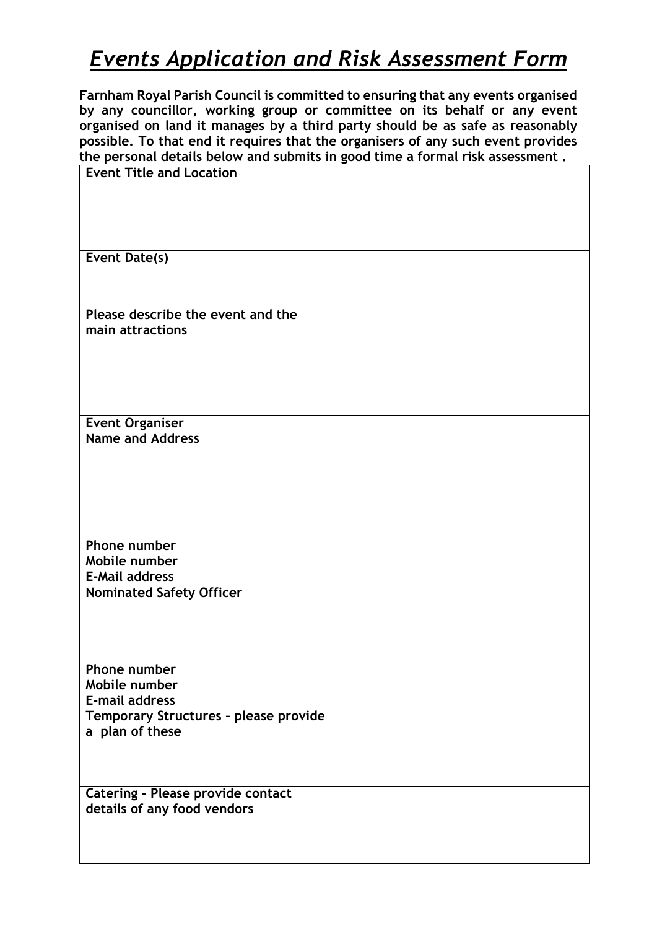## *Events Application and Risk Assessment Form*

**Farnham Royal Parish Council is committed to ensuring that any events organised by any councillor, working group or committee on its behalf or any event organised on land it manages by a third party should be as safe as reasonably possible. To that end it requires that the organisers of any such event provides the personal details below and submits in good time a formal risk assessment .**

| <b>Event Title and Location</b>          |  |
|------------------------------------------|--|
|                                          |  |
|                                          |  |
|                                          |  |
|                                          |  |
|                                          |  |
| Event Date(s)                            |  |
|                                          |  |
|                                          |  |
| Please describe the event and the        |  |
| main attractions                         |  |
|                                          |  |
|                                          |  |
|                                          |  |
|                                          |  |
|                                          |  |
| <b>Event Organiser</b>                   |  |
| <b>Name and Address</b>                  |  |
|                                          |  |
|                                          |  |
|                                          |  |
|                                          |  |
|                                          |  |
|                                          |  |
| Phone number                             |  |
| Mobile number                            |  |
| <b>E-Mail address</b>                    |  |
| <b>Nominated Safety Officer</b>          |  |
|                                          |  |
|                                          |  |
|                                          |  |
|                                          |  |
| Phone number                             |  |
| Mobile number                            |  |
| E-mail address                           |  |
| Temporary Structures - please provide    |  |
| a plan of these                          |  |
|                                          |  |
|                                          |  |
|                                          |  |
| <b>Catering - Please provide contact</b> |  |
| details of any food vendors              |  |
|                                          |  |
|                                          |  |
|                                          |  |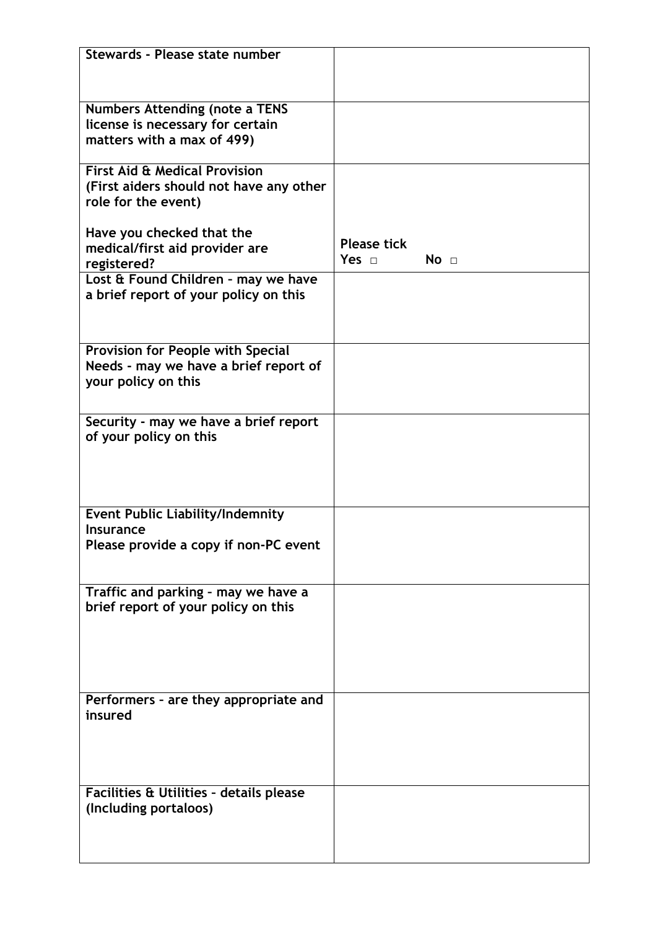| Stewards - Please state number           |                               |
|------------------------------------------|-------------------------------|
|                                          |                               |
|                                          |                               |
| <b>Numbers Attending (note a TENS</b>    |                               |
| license is necessary for certain         |                               |
| matters with a max of 499)               |                               |
|                                          |                               |
| <b>First Aid &amp; Medical Provision</b> |                               |
| (First aiders should not have any other  |                               |
| role for the event)                      |                               |
|                                          |                               |
| Have you checked that the                |                               |
| medical/first aid provider are           | <b>Please tick</b>            |
| registered?                              | Yes $\Box$<br>No <sub>1</sub> |
| Lost & Found Children - may we have      |                               |
| a brief report of your policy on this    |                               |
|                                          |                               |
|                                          |                               |
|                                          |                               |
| Provision for People with Special        |                               |
| Needs - may we have a brief report of    |                               |
| your policy on this                      |                               |
|                                          |                               |
| Security - may we have a brief report    |                               |
| of your policy on this                   |                               |
|                                          |                               |
|                                          |                               |
|                                          |                               |
|                                          |                               |
| <b>Event Public Liability/Indemnity</b>  |                               |
| <b>Insurance</b>                         |                               |
| Please provide a copy if non-PC event    |                               |
|                                          |                               |
|                                          |                               |
| Traffic and parking - may we have a      |                               |
| brief report of your policy on this      |                               |
|                                          |                               |
|                                          |                               |
|                                          |                               |
|                                          |                               |
|                                          |                               |
| Performers - are they appropriate and    |                               |
| insured                                  |                               |
|                                          |                               |
|                                          |                               |
|                                          |                               |
|                                          |                               |
| Facilities & Utilities - details please  |                               |
| (Including portaloos)                    |                               |
|                                          |                               |
|                                          |                               |